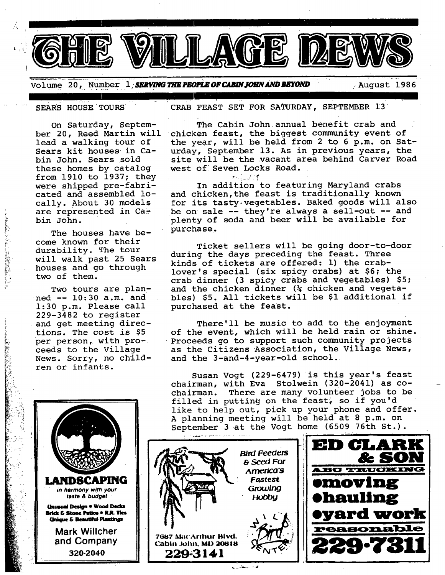Volume 20, Number 1, **SERVING THE PEOPLE OF CABIN JOHN AND BEYOND** August 1986

i

Á

On Saturday, September 20, Reed Martin will lead a walking tour of Sears kit houses in Cabin John. Sears sold these homes by catalog from  $1910$  to  $1937$ ; they were shipped pre-fabricated and assembled locally. About 30 models are represented in Cabin John.

The houses have become known for their durability. The tour will walk past 25 Sears houses and go through two of them.

Two tours are plan-:ned -- 10:30 a.m. and 1:30 p.m. Please call 229-3482 to register and get meeting directions. The cost is \$5 per person, with proceeds to the Village News. Sorry, no children or infants.

**LANDSCAPING** in harmony with your taste & budget *<u>Onusual</u> Design . Wood Decks* **Brick & Stone Patios • R.R. Ties<br>Cinique & Beautiful Plantings** 

> **Mark WiJlcher and Company 320-2040**

SEARS HOUSE TOURS CRAB FEAST SET FOR SATURDAY, SEPTEMBER 13

 $\mathbf{e}^{(1)}$ 

The Cabin John annual benefit crab and chicken feast, the biggest community event of the year, will be held from 2 to 6 p.m. on Saturday, September 13. As in previous years, the site will be the vacant area behind Carver Road west of Seven Locks Road.

وزني In addition to featuring Maryland crabs and chicken, the feast is traditionally known for its tasty, vegetables. Baked goods will also be on sale -- they're always a sell-out -- and plenty of soda and beer will be available for purchase.

Ticket sellers will be going door-to-door during the days preceding the feast. Three kinds of tickets are offered: i) the crablover's special (six spicy crabs) at \$6; the crab dinner (3 spicy crabs and vegetables) \$5; and the chicken dinner (% chicken and vegetables) \$5. All tickets will be \$i additional if purchased at the feast.

There'll be music to add to the enjoyment of the event, which will be held rain or shine. Proceeds go to support such community projects as the Citizens Association, the Village News, and the 3-and-4-year-old school.

Susan Vogt (229-6479) is this year's feast chairman, with Eva Stolwein (320-2041) as cochairman. There are many volunteer jobs to be filled in putting on the feast, so if you'd like to help out, pick up your phone and offer. A planning meeting will be held at 8 p.m. on September 3 at the Vogt home (6509 76th St.).

/.



فيد برستاني ر